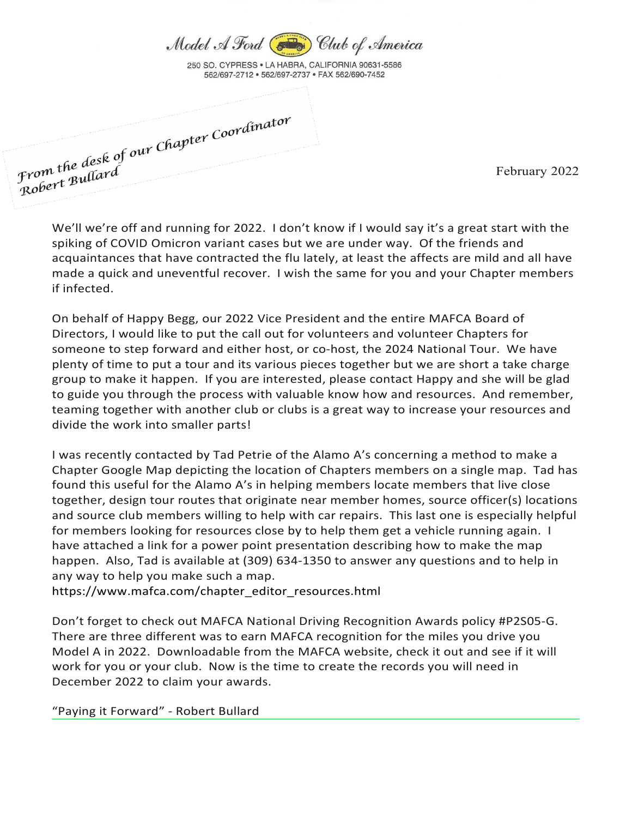

250 SO. CYPRESS . LA HABRA, CALIFORNIA 90631-5586 562/697-2712 · 562/697-2737 · FAX 562/690-7452

From the desk of our Chapter Coordinator<br>Prom the desk of our Chapter Coordinator From the desk<br>Robert Bullard

February 2022

We'll we're off and running for 2022. I don't know if I would say it's a great start with the spiking of COVID Omicron variant cases but we are under way. Of the friends and acquaintances that have contracted the flu lately, at least the affects are mild and all have made a quick and uneventful recover. I wish the same for you and your Chapter members if infected.

On behalf of Happy Begg, our 2022 Vice President and the entire MAFCA Board of Directors, I would like to put the call out for volunteers and volunteer Chapters for someone to step forward and either host, or co-host, the 2024 National Tour. We have plenty of time to put a tour and its various pieces together but we are short a take charge group to make it happen. If you are interested, please contact Happy and she will be glad to guide you through the process with valuable know how and resources. And remember, teaming together with another club or clubs is a great way to increase your resources and divide the work into smaller parts!

I was recently contacted by Tad Petrie of the Alamo A's concerning a method to make a Chapter Google Map depicting the location of Chapters members on a single map. Tad has found this useful for the Alamo A's in helping members locate members that live close together, design tour routes that originate near member homes, source officer(s) locations and source club members willing to help with car repairs. This last one is especially helpful for members looking for resources close by to help them get a vehicle running again. I have attached a link for a power point presentation describing how to make the map happen. Also, Tad is available at (309) 634-1350 to answer any questions and to help in any way to help you make such a map.

https://www.mafca.com/chapter\_editor\_resources.html

Don't forget to check out MAFCA National Driving Recognition Awards policy #P2S05-G. There are three different was to earn MAFCA recognition for the miles you drive you Model A in 2022. Downloadable from the MAFCA website, check it out and see if it will work for you or your club. Now is the time to create the records you will need in December 2022 to claim your awards.

"Paying it Forward" - Robert Bullard